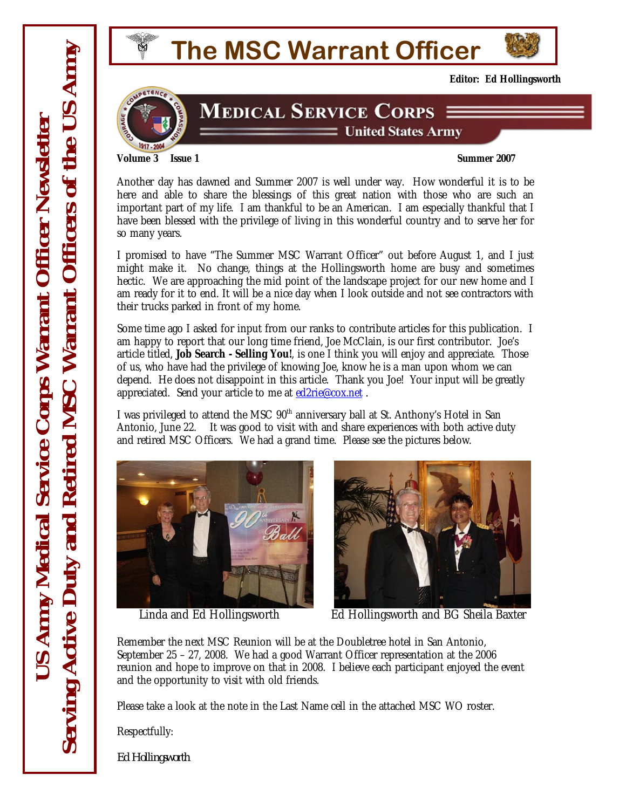



**Editor: Ed Hollingsworth** 

## **MEDICAL SERVICE CORPS** = United States Army

**Volume 3 Issue 1** Summer 2007

Another day has dawned and Summer 2007 is well under way. How wonderful it is to be here and able to share the blessings of this great nation with those who are such an important part of my life. I am thankful to be an American. I am especially thankful that I have been blessed with the privilege of living in this wonderful country and to serve her for so many years.

I promised to have "The Summer MSC Warrant Officer" out before August 1, and I just might make it. No change, things at the Hollingsworth home are busy and sometimes hectic. We are approaching the mid point of the landscape project for our new home and I am ready for it to end. It will be a nice day when I look outside and not see contractors with their trucks parked in front of my home.

Some time ago I asked for input from our ranks to contribute articles for this publication. I am happy to report that our long time friend, Joe McClain, is our first contributor. Joe's article titled, **Job Search - Selling You!**, is one I think you will enjoy and appreciate. Those of us, who have had the privilege of knowing Joe, know he is a man upon whom we can depend. He does not disappoint in this article. Thank you Joe! Your input will be greatly appreciated. Send your article to me at ed2rie@cox.net .

I was privileged to attend the MSC 90<sup>th</sup> anniversary ball at St. Anthony's Hotel in San Antonio, June 22. It was good to visit with and share experiences with both active duty and retired MSC Officers. We had a grand time. Please see the pictures below.





Linda and Ed Hollingsworth Ed Hollingsworth and BG Sheila Baxter

Remember the next MSC Reunion will be at the Doubletree hotel in San Antonio, September 25 – 27, 2008. We had a good Warrant Officer representation at the 2006 reunion and hope to improve on that in 2008. I believe each participant enjoyed the event and the opportunity to visit with old friends.

Please take a look at the note in the Last Name cell in the attached MSC WO roster.

Respectfully:

*Ed Hollingsworth*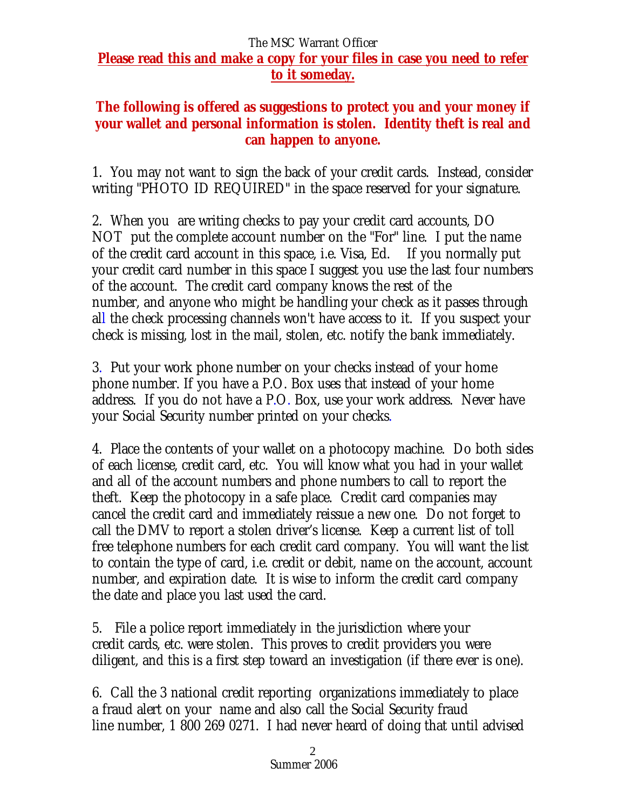## The MSC Warrant Officer **Please read this and make a copy for your files in case you need to refer to it someday.**

## **The following is offered as suggestions to protect you and your money if your wallet and personal information is stolen. Identity theft is real and can happen to anyone.**

1. You may not want to sign the back of your credit cards. Instead, consider writing "PHOTO ID REQUIRED" in the space reserved for your signature.

2. When you are writing checks to pay your credit card accounts, DO NOT put the complete account number on the "For" line. I put the name of the credit card account in this space, i.e. Visa, Ed. If you normally put your credit card number in this space I suggest you use the last four numbers of the account. The credit card company knows the rest of the number, and anyone who might be handling your check as it passes through all the check processing channels won't have access to it. If you suspect your check is missing, lost in the mail, stolen, etc. notify the bank immediately.

3. Put your work phone number on your checks instead of your home phone number. If you have a P.O. Box uses that instead of your home address. If you do not have a P.O. Box, use your work address. Never have your Social Security number printed on your checks.

4. Place the contents of your wallet on a photocopy machine. Do both sides of each license, credit card, etc. You will know what you had in your wallet and all of the account numbers and phone numbers to call to report the theft. Keep the photocopy in a safe place. Credit card companies may cancel the credit card and immediately reissue a new one. Do not forget to call the DMV to report a stolen driver's license. Keep a current list of toll free telephone numbers for each credit card company. You will want the list to contain the type of card, i.e. credit or debit, name on the account, account number, and expiration date. It is wise to inform the credit card company the date and place you last used the card.

5. File a police report immediately in the jurisdiction where your credit cards, etc. were stolen. This proves to credit providers you were diligent, and this is a first step toward an investigation (if there ever is one).

6. Call the 3 national credit reporting organizations immediately to place a fraud alert on your name and also call the Social Security fraud line number, 1 800 269 0271. I had never heard of doing that until advised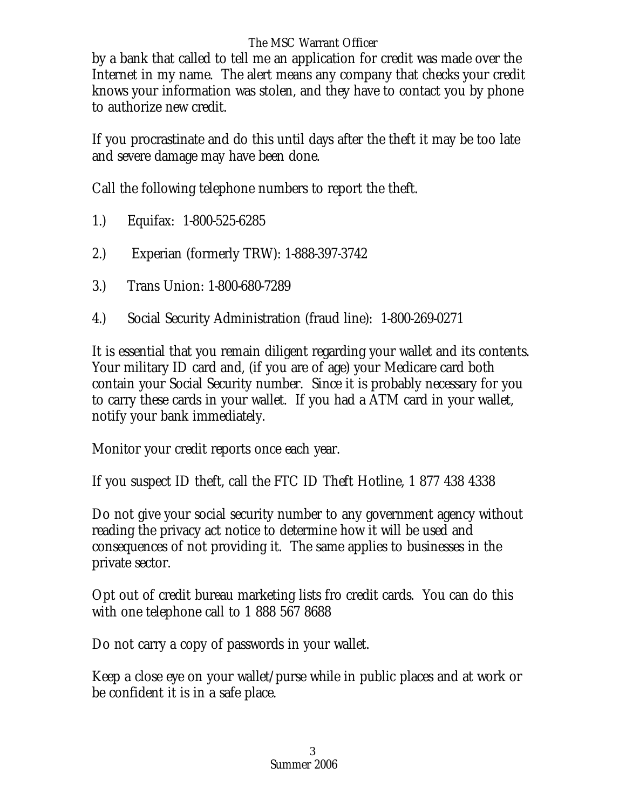## The MSC Warrant Officer

by a bank that called to tell me an application for credit was made over the Internet in my name. The alert means any company that checks your credit knows your information was stolen, and they have to contact you by phone to authorize new credit.

If you procrastinate and do this until days after the theft it may be too late and severe damage may have been done.

Call the following telephone numbers to report the theft.

- 1.) Equifax: 1-800-525-6285
- 2.) Experian (formerly TRW): 1-888-397-3742
- 3.) Trans Union: 1-800-680-7289
- 4.) Social Security Administration (fraud line): 1-800-269-0271

It is essential that you remain diligent regarding your wallet and its contents. Your military ID card and, (if you are of age) your Medicare card both contain your Social Security number. Since it is probably necessary for you to carry these cards in your wallet. If you had a ATM card in your wallet, notify your bank immediately.

Monitor your credit reports once each year.

If you suspect ID theft, call the FTC ID Theft Hotline, 1 877 438 4338

Do not give your social security number to any government agency without reading the privacy act notice to determine how it will be used and consequences of not providing it. The same applies to businesses in the private sector.

Opt out of credit bureau marketing lists fro credit cards. You can do this with one telephone call to 1 888 567 8688

Do not carry a copy of passwords in your wallet.

Keep a close eye on your wallet/purse while in public places and at work or be confident it is in a safe place.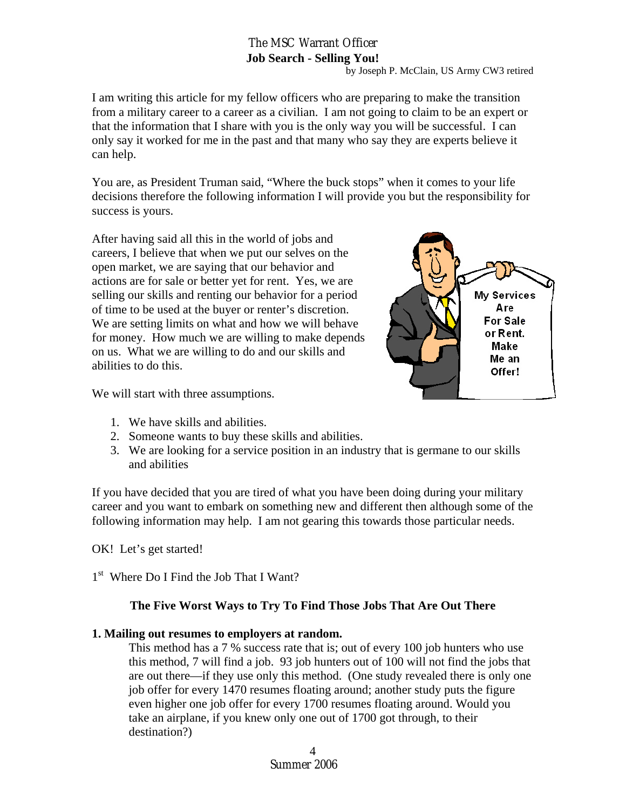## The MSC Warrant Officer **Job Search - Selling You!**

by Joseph P. McClain, US Army CW3 retired

I am writing this article for my fellow officers who are preparing to make the transition from a military career to a career as a civilian. I am not going to claim to be an expert or that the information that I share with you is the only way you will be successful. I can only say it worked for me in the past and that many who say they are experts believe it can help.

You are, as President Truman said, "Where the buck stops" when it comes to your life decisions therefore the following information I will provide you but the responsibility for success is yours.

After having said all this in the world of jobs and careers, I believe that when we put our selves on the open market, we are saying that our behavior and actions are for sale or better yet for rent. Yes, we are selling our skills and renting our behavior for a period of time to be used at the buyer or renter's discretion. We are setting limits on what and how we will behave for money. How much we are willing to make depends on us. What we are willing to do and our skills and abilities to do this.



We will start with three assumptions.

- 1. We have skills and abilities.
- 2. Someone wants to buy these skills and abilities.
- 3. We are looking for a service position in an industry that is germane to our skills and abilities

If you have decided that you are tired of what you have been doing during your military career and you want to embark on something new and different then although some of the following information may help. I am not gearing this towards those particular needs.

OK! Let's get started!

1<sup>st</sup> Where Do I Find the Job That I Want?

#### **The Five Worst Ways to Try To Find Those Jobs That Are Out There**

#### **1. Mailing out resumes to employers at random.**

This method has a 7 % success rate that is; out of every 100 job hunters who use this method, 7 will find a job. 93 job hunters out of 100 will not find the jobs that are out there—if they use only this method. (One study revealed there is only one job offer for every 1470 resumes floating around; another study puts the figure even higher one job offer for every 1700 resumes floating around. Would you take an airplane, if you knew only one out of 1700 got through, to their destination?)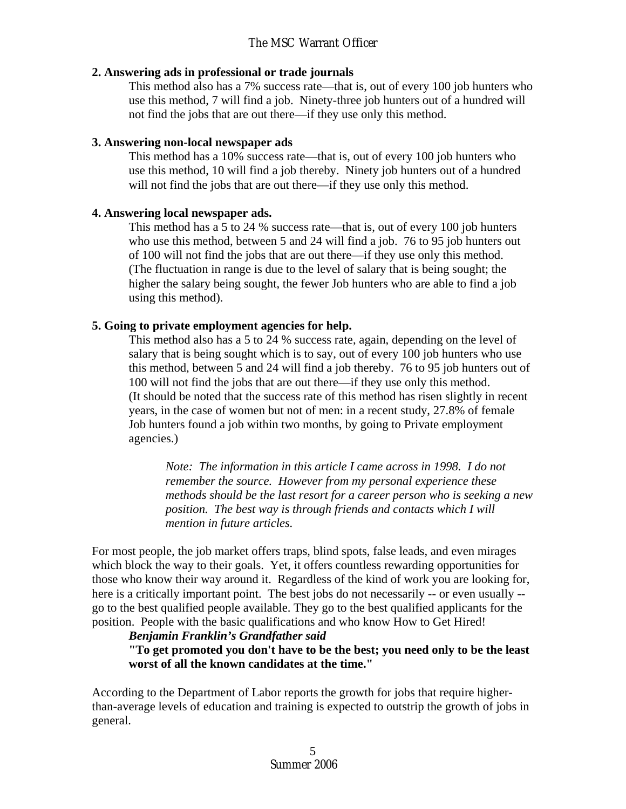#### **2. Answering ads in professional or trade journals**

This method also has a 7% success rate—that is, out of every 100 job hunters who use this method, 7 will find a job. Ninety-three job hunters out of a hundred will not find the jobs that are out there—if they use only this method.

## **3. Answering non-local newspaper ads**

This method has a 10% success rate—that is, out of every 100 job hunters who use this method, 10 will find a job thereby. Ninety job hunters out of a hundred will not find the jobs that are out there—if they use only this method.

## **4. Answering local newspaper ads.**

This method has a 5 to 24 % success rate—that is, out of every 100 job hunters who use this method, between 5 and 24 will find a job. 76 to 95 job hunters out of 100 will not find the jobs that are out there—if they use only this method. (The fluctuation in range is due to the level of salary that is being sought; the higher the salary being sought, the fewer Job hunters who are able to find a job using this method).

## **5. Going to private employment agencies for help.**

This method also has a 5 to 24 % success rate, again, depending on the level of salary that is being sought which is to say, out of every 100 job hunters who use this method, between 5 and 24 will find a job thereby. 76 to 95 job hunters out of 100 will not find the jobs that are out there—if they use only this method. (It should be noted that the success rate of this method has risen slightly in recent years, in the case of women but not of men: in a recent study, 27.8% of female Job hunters found a job within two months, by going to Private employment agencies.)

*Note: The information in this article I came across in 1998. I do not remember the source. However from my personal experience these methods should be the last resort for a career person who is seeking a new position. The best way is through friends and contacts which I will mention in future articles.* 

For most people, the job market offers traps, blind spots, false leads, and even mirages which block the way to their goals. Yet, it offers countless rewarding opportunities for those who know their way around it. Regardless of the kind of work you are looking for, here is a critically important point. The best jobs do not necessarily -- or even usually - go to the best qualified people available. They go to the best qualified applicants for the position. People with the basic qualifications and who know How to Get Hired!

#### *Benjamin Franklin's Grandfather said*

**"To get promoted you don't have to be the best; you need only to be the least worst of all the known candidates at the time."** 

According to the Department of Labor reports the growth for jobs that require higherthan-average levels of education and training is expected to outstrip the growth of jobs in general.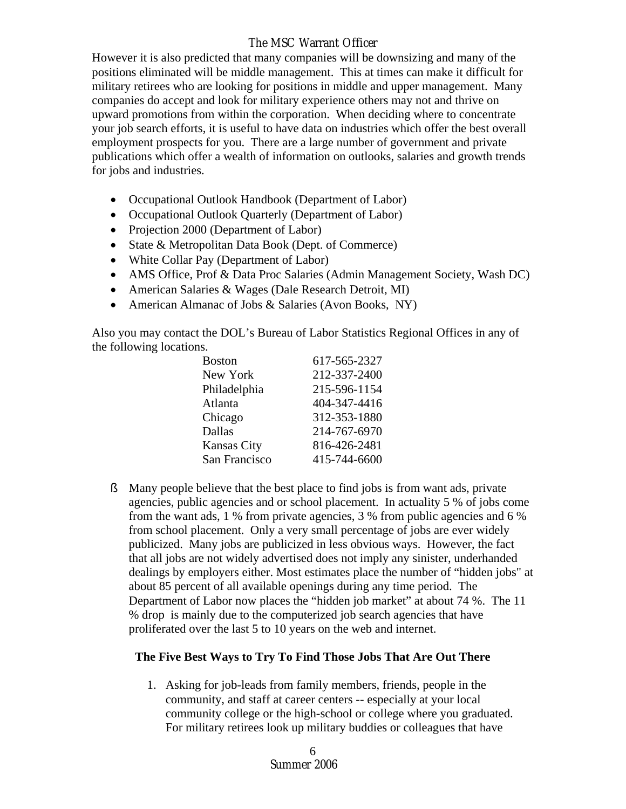## The MSC Warrant Officer

However it is also predicted that many companies will be downsizing and many of the positions eliminated will be middle management. This at times can make it difficult for military retirees who are looking for positions in middle and upper management. Many companies do accept and look for military experience others may not and thrive on upward promotions from within the corporation. When deciding where to concentrate your job search efforts, it is useful to have data on industries which offer the best overall employment prospects for you. There are a large number of government and private publications which offer a wealth of information on outlooks, salaries and growth trends for jobs and industries.

- Occupational Outlook Handbook (Department of Labor)
- Occupational Outlook Quarterly (Department of Labor)
- Projection 2000 (Department of Labor)
- State & Metropolitan Data Book (Dept. of Commerce)
- White Collar Pay (Department of Labor)
- AMS Office, Prof & Data Proc Salaries (Admin Management Society, Wash DC)
- American Salaries & Wages (Dale Research Detroit, MI)
- American Almanac of Jobs & Salaries (Avon Books, NY)

Also you may contact the DOL's Bureau of Labor Statistics Regional Offices in any of the following locations.

| 617-565-2327 |
|--------------|
| 212-337-2400 |
| 215-596-1154 |
| 404-347-4416 |
| 312-353-1880 |
| 214-767-6970 |
| 816-426-2481 |
| 415-744-6600 |
|              |

ß Many people believe that the best place to find jobs is from want ads, private agencies, public agencies and or school placement. In actuality 5 % of jobs come from the want ads, 1 % from private agencies, 3 % from public agencies and 6 % from school placement. Only a very small percentage of jobs are ever widely publicized. Many jobs are publicized in less obvious ways. However, the fact that all jobs are not widely advertised does not imply any sinister, underhanded dealings by employers either. Most estimates place the number of "hidden jobs" at about 85 percent of all available openings during any time period. The Department of Labor now places the "hidden job market" at about 74 %. The 11 % drop is mainly due to the computerized job search agencies that have proliferated over the last 5 to 10 years on the web and internet.

#### **The Five Best Ways to Try To Find Those Jobs That Are Out There**

1. Asking for job-leads from family members, friends, people in the community, and staff at career centers -- especially at your local community college or the high-school or college where you graduated. For military retirees look up military buddies or colleagues that have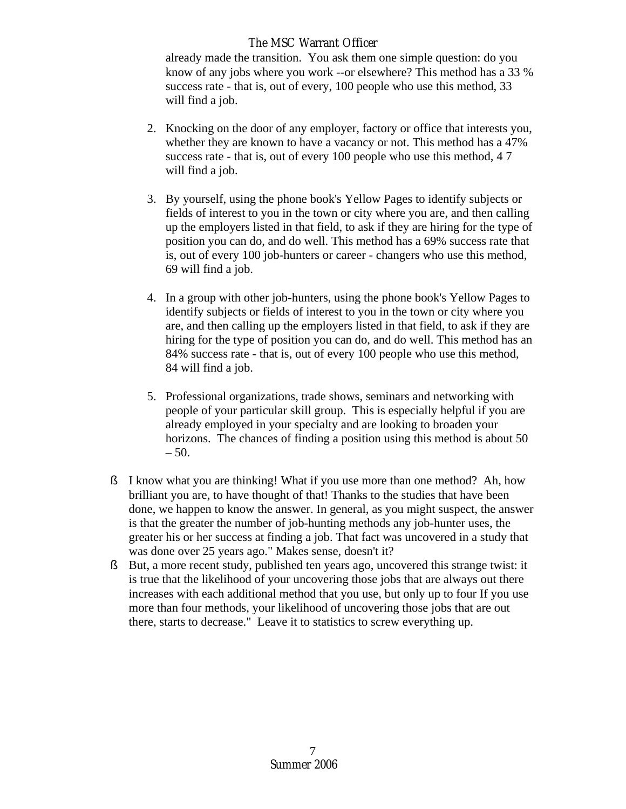### The MSC Warrant Officer

already made the transition. You ask them one simple question: do you know of any jobs where you work --or elsewhere? This method has a 33 % success rate - that is, out of every, 100 people who use this method, 33 will find a job.

- 2. Knocking on the door of any employer, factory or office that interests you, whether they are known to have a vacancy or not. This method has a 47% success rate - that is, out of every 100 people who use this method, 4 7 will find a job.
- 3. By yourself, using the phone book's Yellow Pages to identify subjects or fields of interest to you in the town or city where you are, and then calling up the employers listed in that field, to ask if they are hiring for the type of position you can do, and do well. This method has a 69% success rate that is, out of every 100 job-hunters or career - changers who use this method, 69 will find a job.
- 4. In a group with other job-hunters, using the phone book's Yellow Pages to identify subjects or fields of interest to you in the town or city where you are, and then calling up the employers listed in that field, to ask if they are hiring for the type of position you can do, and do well. This method has an 84% success rate - that is, out of every 100 people who use this method, 84 will find a job.
- 5. Professional organizations, trade shows, seminars and networking with people of your particular skill group. This is especially helpful if you are already employed in your specialty and are looking to broaden your horizons. The chances of finding a position using this method is about 50  $-50.$
- ß I know what you are thinking! What if you use more than one method? Ah, how brilliant you are, to have thought of that! Thanks to the studies that have been done, we happen to know the answer. In general, as you might suspect, the answer is that the greater the number of job-hunting methods any job-hunter uses, the greater his or her success at finding a job. That fact was uncovered in a study that was done over 25 years ago." Makes sense, doesn't it?
- ß But, a more recent study, published ten years ago, uncovered this strange twist: it is true that the likelihood of your uncovering those jobs that are always out there increases with each additional method that you use, but only up to four If you use more than four methods, your likelihood of uncovering those jobs that are out there, starts to decrease." Leave it to statistics to screw everything up.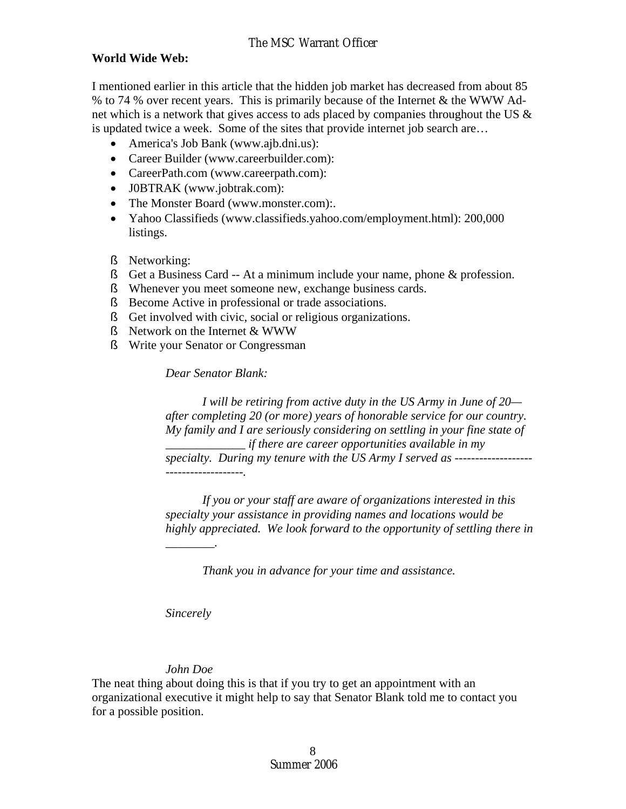#### **World Wide Web:**

I mentioned earlier in this article that the hidden job market has decreased from about 85 % to 74 % over recent years. This is primarily because of the Internet & the WWW Adnet which is a network that gives access to ads placed by companies throughout the US & is updated twice a week. Some of the sites that provide internet job search are…

- America's Job Bank (www.ajb.dni.us):
- Career Builder (www.careerbuilder.com):
- CareerPath.com (www.careerpath.com):
- J0BTRAK (www.jobtrak.com):
- The Monster Board (www.monster.com):
- Yahoo Classifieds (www.classifieds.yahoo.com/employment.html): 200,000 listings.
- ß Networking:
- ß Get a Business Card -- At a minimum include your name, phone & profession.
- ß Whenever you meet someone new, exchange business cards.
- ß Become Active in professional or trade associations.
- ß Get involved with civic, social or religious organizations.
- ß Network on the Internet & WWW
- ß Write your Senator or Congressman

*Dear Senator Blank:* 

 *I will be retiring from active duty in the US Army in June of 20 after completing 20 (or more) years of honorable service for our country. My family and I are seriously considering on settling in your fine state of \_\_\_\_\_\_\_\_\_\_\_\_\_ if there are career opportunities available in my specialty. During my tenure with the US Army I served as ------------------- -------------------.* 

 *If you or your staff are aware of organizations interested in this specialty your assistance in providing names and locations would be highly appreciated. We look forward to the opportunity of settling there in* 

 *Thank you in advance for your time and assistance.* 

*Sincerely* 

*\_\_\_\_\_\_\_\_.* 

#### *John Doe*

The neat thing about doing this is that if you try to get an appointment with an organizational executive it might help to say that Senator Blank told me to contact you for a possible position.